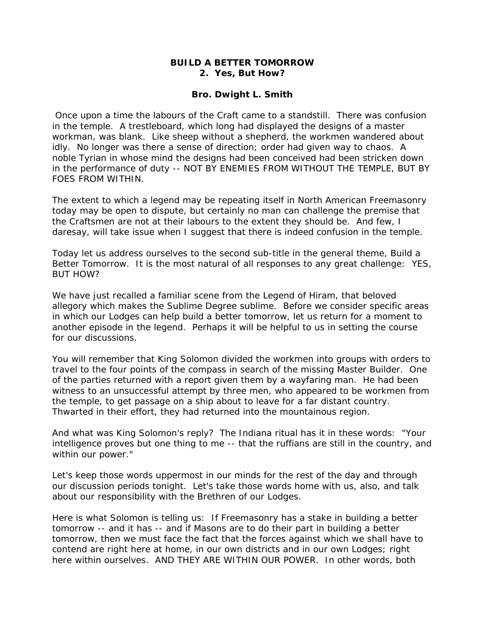## **BUILD A BETTER TOMORROW 2. Yes, But How?**

## **Bro. Dwight L. Smith**

 Once upon a time the labours of the Craft came to a standstill. There was confusion in the temple. A trestleboard, which long had displayed the designs of a master workman, was blank. Like sheep without a shepherd, the workmen wandered about idly. No longer was there a sense of direction; order had given way to chaos. A noble Tyrian in whose mind the designs had been conceived had been stricken down in the performance of duty -- NOT BY ENEMIES FROM WITHOUT THE TEMPLE, BUT BY FOES FROM WITHIN.

The extent to which a legend may be repeating itself in North American Freemasonry today may be open to dispute, but certainly no man can challenge the premise that the Craftsmen are not at their labours to the extent they should be. And few, I daresay, will take issue when I suggest that there is indeed confusion in the temple.

Today let us address ourselves to the second sub-title in the general theme, Build a Better Tomorrow. It is the most natural of all responses to any great challenge: YES, BUT HOW?

We have just recalled a familiar scene from the Legend of Hiram, that beloved allegory which makes the Sublime Degree sublime. Before we consider specific areas in which our Lodges can help build a better tomorrow, let us return for a moment to another episode in the legend. Perhaps it will be helpful to us in setting the course for our discussions.

You will remember that King Solomon divided the workmen into groups with orders to travel to the four points of the compass in search of the missing Master Builder. One of the parties returned with a report given them by a wayfaring man. He had been witness to an unsuccessful attempt by three men, who appeared to be workmen from the temple, to get passage on a ship about to leave for a far distant country. Thwarted in their effort, they had returned into the mountainous region.

And what was King Solomon's reply? The Indiana ritual has it in these words: "Your intelligence proves but one thing to me -- that the ruffians are still in the country, and within our power."

Let's keep those words uppermost in our minds for the rest of the day and through our discussion periods tonight. Let's take those words home with us, also, and talk about our responsibility with the Brethren of our Lodges.

Here is what Solomon is telling us: If Freemasonry has a stake in building a better tomorrow -- and it has -- and if Masons are to do their part in building a better tomorrow, then we must face the fact that the forces against which we shall have to contend are right here at home, in our own districts and in our own Lodges; right here within ourselves. AND THEY ARE WITHIN OUR POWER. In other words, both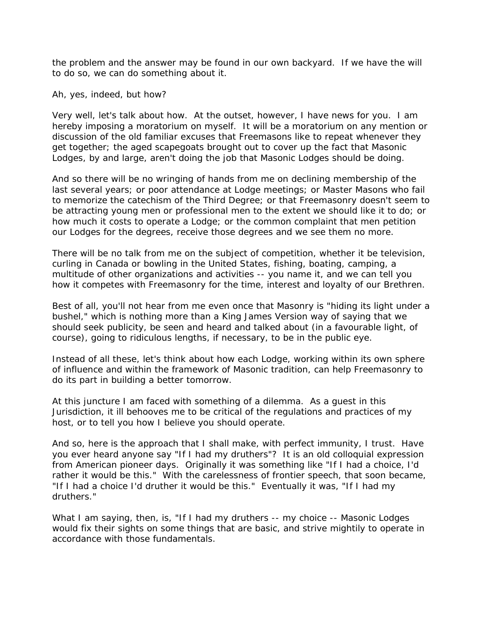the problem and the answer may be found in our own backyard. If we have the will to do so, we can do something about it.

Ah, yes, indeed, but how?

Very well, let's talk about how. At the outset, however, I have news for you. I am hereby imposing a moratorium on myself. It will be a moratorium on any mention or discussion of the old familiar excuses that Freemasons like to repeat whenever they get together; the aged scapegoats brought out to cover up the fact that Masonic Lodges, by and large, aren't doing the job that Masonic Lodges should be doing.

And so there will be no wringing of hands from me on declining membership of the last several years; or poor attendance at Lodge meetings; or Master Masons who fail to memorize the catechism of the Third Degree; or that Freemasonry doesn't seem to be attracting young men or professional men to the extent we should like it to do; or how much it costs to operate a Lodge; or the common complaint that men petition our Lodges for the degrees, receive those degrees and we see them no more.

There will be no talk from me on the subject of competition, whether it be television, curling in Canada or bowling in the United States, fishing, boating, camping, a multitude of other organizations and activities -- you name it, and we can tell you how it competes with Freemasonry for the time, interest and loyalty of our Brethren.

Best of all, you'll not hear from me even once that Masonry is "hiding its light under a bushel," which is nothing more than a King James Version way of saying that we should seek publicity, be seen and heard and talked about (in a favourable light, of course), going to ridiculous lengths, if necessary, to be in the public eye.

Instead of all these, let's think about how each Lodge, working within its own sphere of influence and within the framework of Masonic tradition, can help Freemasonry to do its part in building a better tomorrow.

At this juncture I am faced with something of a dilemma. As a guest in this Jurisdiction, it ill behooves me to be critical of the regulations and practices of my host, or to tell you how I believe you should operate.

And so, here is the approach that I shall make, with perfect immunity, I trust. Have you ever heard anyone say "If I had my druthers"? It is an old colloquial expression from American pioneer days. Originally it was something like "If I had a choice, I'd rather it would be this." With the carelessness of frontier speech, that soon became, "If I had a choice I'd druther it would be this." Eventually it was, "If I had my druthers."

What I am saying, then, is, "If I had my druthers -- my choice -- Masonic Lodges would fix their sights on some things that are basic, and strive mightily to operate in accordance with those fundamentals.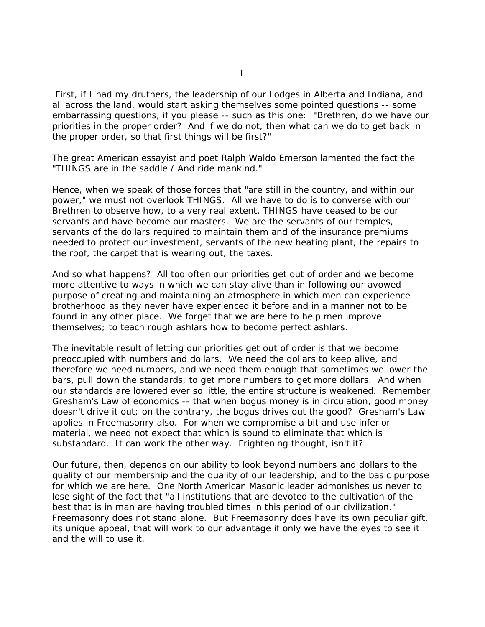First, if I had my druthers, the leadership of our Lodges in Alberta and Indiana, and all across the land, would start asking themselves some pointed questions -- some embarrassing questions, if you please -- such as this one: "Brethren, do we have our priorities in the proper order? And if we do not, then what can we do to get back in the proper order, so that first things will be first?"

The great American essayist and poet Ralph Waldo Emerson lamented the fact the "THINGS are in the saddle / And ride mankind."

Hence, when we speak of those forces that "are still in the country, and within our power," we must not overlook THINGS. All we have to do is to converse with our Brethren to observe how, to a very real extent, THINGS have ceased to be our servants and have become our masters. We are the servants of our temples, servants of the dollars required to maintain them and of the insurance premiums needed to protect our investment, servants of the new heating plant, the repairs to the roof, the carpet that is wearing out, the taxes.

And so what happens? All too often our priorities get out of order and we become more attentive to ways in which we can stay alive than in following our avowed purpose of creating and maintaining an atmosphere in which men can experience brotherhood as they never have experienced it before and in a manner not to be found in any other place. We forget that we are here to help men improve themselves; to teach rough ashlars how to become perfect ashlars.

The inevitable result of letting our priorities get out of order is that we become preoccupied with numbers and dollars. We need the dollars to keep alive, and therefore we need numbers, and we need them enough that sometimes we lower the bars, pull down the standards, to get more numbers to get more dollars. And when our standards are lowered ever so little, the entire structure is weakened. Remember Gresham's Law of economics -- that when bogus money is in circulation, good money doesn't drive it out; on the contrary, the bogus drives out the good? Gresham's Law applies in Freemasonry also. For when we compromise a bit and use inferior material, we need not expect that which is sound to eliminate that which is substandard. It can work the other way. Frightening thought, isn't it?

Our future, then, depends on our ability to look beyond numbers and dollars to the quality of our membership and the quality of our leadership, and to the basic purpose for which we are here. One North American Masonic leader admonishes us never to lose sight of the fact that "all institutions that are devoted to the cultivation of the best that is in man are having troubled times in this period of our civilization." Freemasonry does not stand alone. But Freemasonry does have its own peculiar gift, its unique appeal, that will work to our advantage if only we have the eyes to see it and the will to use it.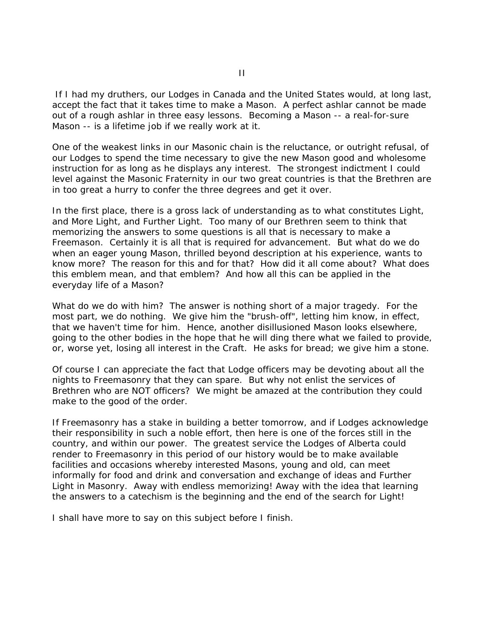If I had my druthers, our Lodges in Canada and the United States would, at long last, accept the fact that it takes time to make a Mason. A perfect ashlar cannot be made out of a rough ashlar in three easy lessons. Becoming a Mason -- a real-for-sure Mason -- is a lifetime job if we really work at it.

One of the weakest links in our Masonic chain is the reluctance, or outright refusal, of our Lodges to spend the time necessary to give the new Mason good and wholesome instruction for as long as he displays any interest. The strongest indictment I could level against the Masonic Fraternity in our two great countries is that the Brethren are in too great a hurry to confer the three degrees and get it over.

In the first place, there is a gross lack of understanding as to what constitutes Light, and More Light, and Further Light. Too many of our Brethren seem to think that memorizing the answers to some questions is all that is necessary to make a Freemason. Certainly it is all that is required for advancement. But what do we do when an eager young Mason, thrilled beyond description at his experience, wants to know more? The reason for this and for that? How did it all come about? What does this emblem mean, and that emblem? And how all this can be applied in the everyday life of a Mason?

What do we do with him? The answer is nothing short of a major tragedy. For the most part, we do nothing. We give him the "brush-off", letting him know, in effect, that we haven't time for him. Hence, another disillusioned Mason looks elsewhere, going to the other bodies in the hope that he will ding there what we failed to provide, or, worse yet, losing all interest in the Craft. He asks for bread; we give him a stone.

Of course I can appreciate the fact that Lodge officers may be devoting about all the nights to Freemasonry that they can spare. But why not enlist the services of Brethren who are NOT officers? We might be amazed at the contribution they could make to the good of the order.

If Freemasonry has a stake in building a better tomorrow, and if Lodges acknowledge their responsibility in such a noble effort, then here is one of the forces still in the country, and within our power. The greatest service the Lodges of Alberta could render to Freemasonry in this period of our history would be to make available facilities and occasions whereby interested Masons, young and old, can meet informally for food and drink and conversation and exchange of ideas and Further Light in Masonry. Away with endless memorizing! Away with the idea that learning the answers to a catechism is the beginning and the end of the search for Light!

I shall have more to say on this subject before I finish.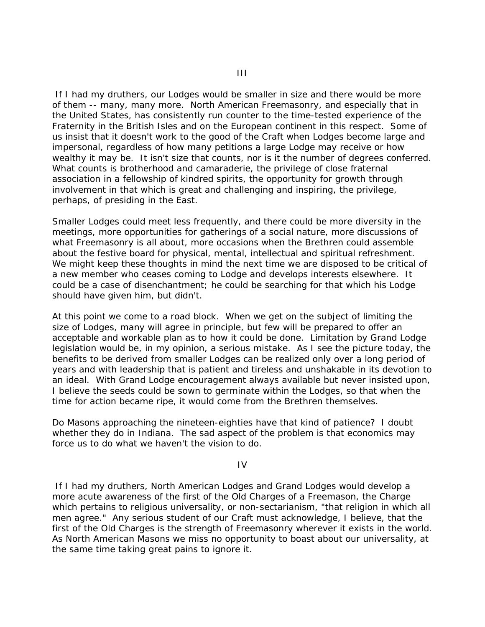If I had my druthers, our Lodges would be smaller in size and there would be more of them -- many, many more. North American Freemasonry, and especially that in the United States, has consistently run counter to the time-tested experience of the Fraternity in the British Isles and on the European continent in this respect. Some of us insist that it doesn't work to the good of the Craft when Lodges become large and impersonal, regardless of how many petitions a large Lodge may receive or how wealthy it may be. It isn't size that counts, nor is it the number of degrees conferred. What counts is brotherhood and camaraderie, the privilege of close fraternal association in a fellowship of kindred spirits, the opportunity for growth through involvement in that which is great and challenging and inspiring, the privilege, perhaps, of presiding in the East.

Smaller Lodges could meet less frequently, and there could be more diversity in the meetings, more opportunities for gatherings of a social nature, more discussions of what Freemasonry is all about, more occasions when the Brethren could assemble about the festive board for physical, mental, intellectual and spiritual refreshment. We might keep these thoughts in mind the next time we are disposed to be critical of a new member who ceases coming to Lodge and develops interests elsewhere. It could be a case of disenchantment; he could be searching for that which his Lodge should have given him, but didn't.

At this point we come to a road block. When we get on the subject of limiting the size of Lodges, many will agree in principle, but few will be prepared to offer an acceptable and workable plan as to how it could be done. Limitation by Grand Lodge legislation would be, in my opinion, a serious mistake. As I see the picture today, the benefits to be derived from smaller Lodges can be realized only over a long period of years and with leadership that is patient and tireless and unshakable in its devotion to an ideal. With Grand Lodge encouragement always available but never insisted upon, I believe the seeds could be sown to germinate within the Lodges, so that when the time for action became ripe, it would come from the Brethren themselves.

Do Masons approaching the nineteen-eighties have that kind of patience? I doubt whether they do in Indiana. The sad aspect of the problem is that economics may force us to do what we haven't the vision to do.

IV

 If I had my druthers, North American Lodges and Grand Lodges would develop a more acute awareness of the first of the Old Charges of a Freemason, the Charge which pertains to religious universality, or non-sectarianism, "that religion in which all men agree." Any serious student of our Craft must acknowledge, I believe, that the first of the Old Charges is the strength of Freemasonry wherever it exists in the world. As North American Masons we miss no opportunity to boast about our universality, at the same time taking great pains to ignore it.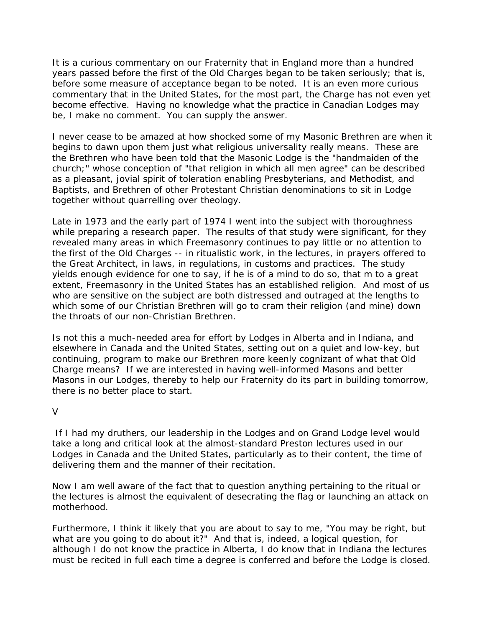It is a curious commentary on our Fraternity that in England more than a hundred years passed before the first of the Old Charges began to be taken seriously; that is, before some measure of acceptance began to be noted. It is an even more curious commentary that in the United States, for the most part, the Charge has not even yet become effective. Having no knowledge what the practice in Canadian Lodges may be, I make no comment. You can supply the answer.

I never cease to be amazed at how shocked some of my Masonic Brethren are when it begins to dawn upon them just what religious universality really means. These are the Brethren who have been told that the Masonic Lodge is the "handmaiden of the church;" whose conception of "that religion in which all men agree" can be described as a pleasant, jovial spirit of toleration enabling Presbyterians, and Methodist, and Baptists, and Brethren of other Protestant Christian denominations to sit in Lodge together without quarrelling over theology.

Late in 1973 and the early part of 1974 I went into the subject with thoroughness while preparing a research paper. The results of that study were significant, for they revealed many areas in which Freemasonry continues to pay little or no attention to the first of the Old Charges -- in ritualistic work, in the lectures, in prayers offered to the Great Architect, in laws, in regulations, in customs and practices. The study yields enough evidence for one to say, if he is of a mind to do so, that m to a great extent, Freemasonry in the United States has an established religion. And most of us who are sensitive on the subject are both distressed and outraged at the lengths to which some of our Christian Brethren will go to cram their religion (and mine) down the throats of our non-Christian Brethren.

Is not this a much-needed area for effort by Lodges in Alberta and in Indiana, and elsewhere in Canada and the United States, setting out on a quiet and low-key, but continuing, program to make our Brethren more keenly cognizant of what that Old Charge means? If we are interested in having well-informed Masons and better Masons in our Lodges, thereby to help our Fraternity do its part in building tomorrow, there is no better place to start.

## $\overline{V}$

 If I had my druthers, our leadership in the Lodges and on Grand Lodge level would take a long and critical look at the almost-standard Preston lectures used in our Lodges in Canada and the United States, particularly as to their content, the time of delivering them and the manner of their recitation.

Now I am well aware of the fact that to question anything pertaining to the ritual or the lectures is almost the equivalent of desecrating the flag or launching an attack on motherhood.

Furthermore, I think it likely that you are about to say to me, "You may be right, but what are you going to do about it?" And that is, indeed, a logical question, for although I do not know the practice in Alberta, I do know that in Indiana the lectures must be recited in full each time a degree is conferred and before the Lodge is closed.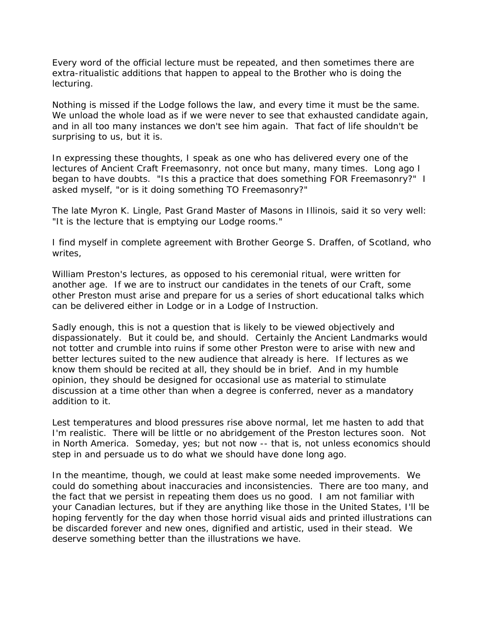Every word of the official lecture must be repeated, and then sometimes there are extra-ritualistic additions that happen to appeal to the Brother who is doing the lecturing.

Nothing is missed if the Lodge follows the law, and every time it must be the same. We unload the whole load as if we were never to see that exhausted candidate again, and in all too many instances we don't see him again. That fact of life shouldn't be surprising to us, but it is.

In expressing these thoughts, I speak as one who has delivered every one of the lectures of Ancient Craft Freemasonry, not once but many, many times. Long ago I began to have doubts. "Is this a practice that does something FOR Freemasonry?" I asked myself, "or is it doing something TO Freemasonry?"

The late Myron K. Lingle, Past Grand Master of Masons in Illinois, said it so very well: "It is the lecture that is emptying our Lodge rooms."

I find myself in complete agreement with Brother George S. Draffen, of Scotland, who writes,

William Preston's lectures, as opposed to his ceremonial ritual, were written for another age. If we are to instruct our candidates in the tenets of our Craft, some other Preston must arise and prepare for us a series of short educational talks which can be delivered either in Lodge or in a Lodge of Instruction.

Sadly enough, this is not a question that is likely to be viewed objectively and dispassionately. But it could be, and should. Certainly the Ancient Landmarks would not totter and crumble into ruins if some other Preston were to arise with new and better lectures suited to the new audience that already is here. If lectures as we know them should be recited at all, they should be in brief. And in my humble opinion, they should be designed for occasional use as material to stimulate discussion at a time other than when a degree is conferred, never as a mandatory addition to it.

Lest temperatures and blood pressures rise above normal, let me hasten to add that I'm realistic. There will be little or no abridgement of the Preston lectures soon. Not in North America. Someday, yes; but not now -- that is, not unless economics should step in and persuade us to do what we should have done long ago.

In the meantime, though, we could at least make some needed improvements. We could do something about inaccuracies and inconsistencies. There are too many, and the fact that we persist in repeating them does us no good. I am not familiar with your Canadian lectures, but if they are anything like those in the United States, I'll be hoping fervently for the day when those horrid visual aids and printed illustrations can be discarded forever and new ones, dignified and artistic, used in their stead. We deserve something better than the illustrations we have.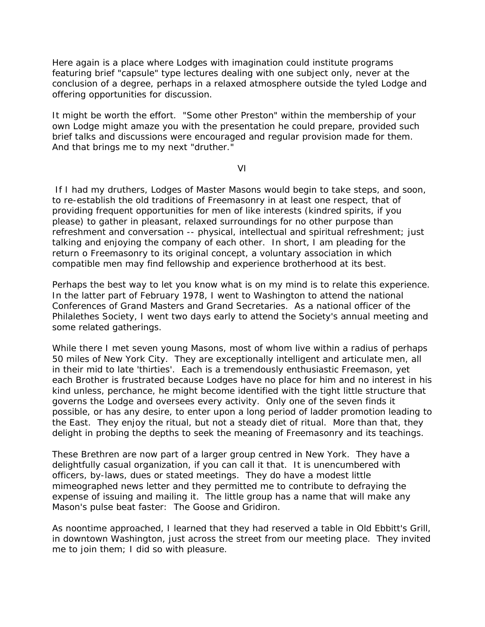Here again is a place where Lodges with imagination could institute programs featuring brief "capsule" type lectures dealing with one subject only, never at the conclusion of a degree, perhaps in a relaxed atmosphere outside the tyled Lodge and offering opportunities for discussion.

It might be worth the effort. "Some other Preston" within the membership of your own Lodge might amaze you with the presentation he could prepare, provided such brief talks and discussions were encouraged and regular provision made for them. And that brings me to my next "druther."

VI

 If I had my druthers, Lodges of Master Masons would begin to take steps, and soon, to re-establish the old traditions of Freemasonry in at least one respect, that of providing frequent opportunities for men of like interests (kindred spirits, if you please) to gather in pleasant, relaxed surroundings for no other purpose than refreshment and conversation -- physical, intellectual and spiritual refreshment; just talking and enjoying the company of each other. In short, I am pleading for the return o Freemasonry to its original concept, a voluntary association in which compatible men may find fellowship and experience brotherhood at its best.

Perhaps the best way to let you know what is on my mind is to relate this experience. In the latter part of February 1978, I went to Washington to attend the national Conferences of Grand Masters and Grand Secretaries. As a national officer of the Philalethes Society, I went two days early to attend the Society's annual meeting and some related gatherings.

While there I met seven young Masons, most of whom live within a radius of perhaps 50 miles of New York City. They are exceptionally intelligent and articulate men, all in their mid to late 'thirties'. Each is a tremendously enthusiastic Freemason, yet each Brother is frustrated because Lodges have no place for him and no interest in his kind unless, perchance, he might become identified with the tight little structure that governs the Lodge and oversees every activity. Only one of the seven finds it possible, or has any desire, to enter upon a long period of ladder promotion leading to the East. They enjoy the ritual, but not a steady diet of ritual. More than that, they delight in probing the depths to seek the meaning of Freemasonry and its teachings.

These Brethren are now part of a larger group centred in New York. They have a delightfully casual organization, if you can call it that. It is unencumbered with officers, by-laws, dues or stated meetings. They do have a modest little mimeographed news letter and they permitted me to contribute to defraying the expense of issuing and mailing it. The little group has a name that will make any Mason's pulse beat faster: The Goose and Gridiron.

As noontime approached, I learned that they had reserved a table in Old Ebbitt's Grill, in downtown Washington, just across the street from our meeting place. They invited me to join them; I did so with pleasure.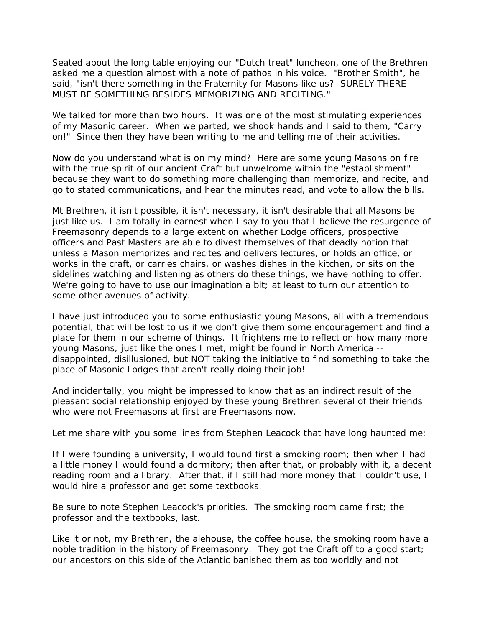Seated about the long table enjoying our "Dutch treat" luncheon, one of the Brethren asked me a question almost with a note of pathos in his voice. "Brother Smith", he said, "isn't there something in the Fraternity for Masons like us? SURELY THERE MUST BE SOMETHING BESIDES MEMORIZING AND RECITING."

We talked for more than two hours. It was one of the most stimulating experiences of my Masonic career. When we parted, we shook hands and I said to them, "Carry on!" Since then they have been writing to me and telling me of their activities.

Now do you understand what is on my mind? Here are some young Masons on fire with the true spirit of our ancient Craft but unwelcome within the "establishment" because they want to do something more challenging than memorize, and recite, and go to stated communications, and hear the minutes read, and vote to allow the bills.

Mt Brethren, it isn't possible, it isn't necessary, it isn't desirable that all Masons be just like us. I am totally in earnest when I say to you that I believe the resurgence of Freemasonry depends to a large extent on whether Lodge officers, prospective officers and Past Masters are able to divest themselves of that deadly notion that unless a Mason memorizes and recites and delivers lectures, or holds an office, or works in the craft, or carries chairs, or washes dishes in the kitchen, or sits on the sidelines watching and listening as others do these things, we have nothing to offer. We're going to have to use our imagination a bit; at least to turn our attention to some other avenues of activity.

I have just introduced you to some enthusiastic young Masons, all with a tremendous potential, that will be lost to us if we don't give them some encouragement and find a place for them in our scheme of things. It frightens me to reflect on how many more young Masons, just like the ones I met, might be found in North America - disappointed, disillusioned, but NOT taking the initiative to find something to take the place of Masonic Lodges that aren't really doing their job!

And incidentally, you might be impressed to know that as an indirect result of the pleasant social relationship enjoyed by these young Brethren several of their friends who were not Freemasons at first are Freemasons now.

Let me share with you some lines from Stephen Leacock that have long haunted me:

If I were founding a university, I would found first a smoking room; then when I had a little money I would found a dormitory; then after that, or probably with it, a decent reading room and a library. After that, if I still had more money that I couldn't use, I would hire a professor and get some textbooks.

Be sure to note Stephen Leacock's priorities. The smoking room came first; the professor and the textbooks, last.

Like it or not, my Brethren, the alehouse, the coffee house, the smoking room have a noble tradition in the history of Freemasonry. They got the Craft off to a good start; our ancestors on this side of the Atlantic banished them as too worldly and not